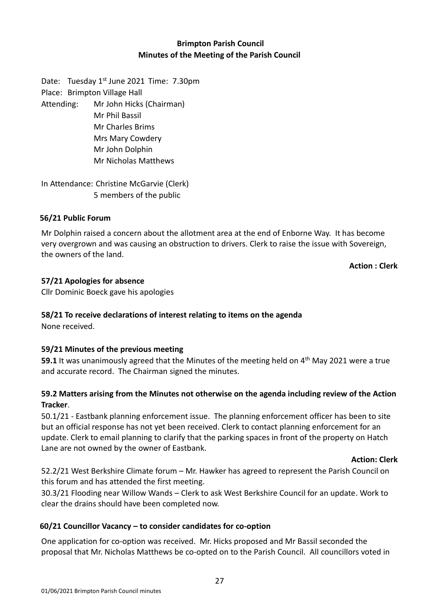# **Brimpton Parish Council Minutes of the Meeting of the Parish Council**

Date: Tuesday 1<sup>st</sup> June 2021 Time: 7.30pm Place: Brimpton Village Hall Attending: Mr John Hicks (Chairman) Mr Phil Bassil Mr Charles Brims Mrs Mary Cowdery Mr John Dolphin Mr Nicholas Matthews

In Attendance: Christine McGarvie (Clerk) 5 members of the public

## **56/21 Public Forum**

Mr Dolphin raised a concern about the allotment area at the end of Enborne Way. It has become very overgrown and was causing an obstruction to drivers. Clerk to raise the issue with Sovereign, the owners of the land.

**Action : Clerk** 

## **57/21 Apologies for absence**

Cllr Dominic Boeck gave his apologies

## **58/21 To receive declarations of interest relating to items on the agenda**

None received.

## **59/21 Minutes of the previous meeting**

59.1 It was unanimously agreed that the Minutes of the meeting held on 4<sup>th</sup> May 2021 were a true and accurate record. The Chairman signed the minutes.

# **59.2 Matters arising from the Minutes not otherwise on the agenda including review of the Action Tracker**.

50.1/21 - Eastbank planning enforcement issue. The planning enforcement officer has been to site but an official response has not yet been received. Clerk to contact planning enforcement for an update. Clerk to email planning to clarify that the parking spaces in front of the property on Hatch Lane are not owned by the owner of Eastbank.

### **Action: Clerk**

52.2/21 West Berkshire Climate forum – Mr. Hawker has agreed to represent the Parish Council on this forum and has attended the first meeting.

30.3/21 Flooding near Willow Wands – Clerk to ask West Berkshire Council for an update. Work to clear the drains should have been completed now.

## **60/21 Councillor Vacancy – to consider candidates for co-option**

One application for co-option was received. Mr. Hicks proposed and Mr Bassil seconded the proposal that Mr. Nicholas Matthews be co-opted on to the Parish Council. All councillors voted in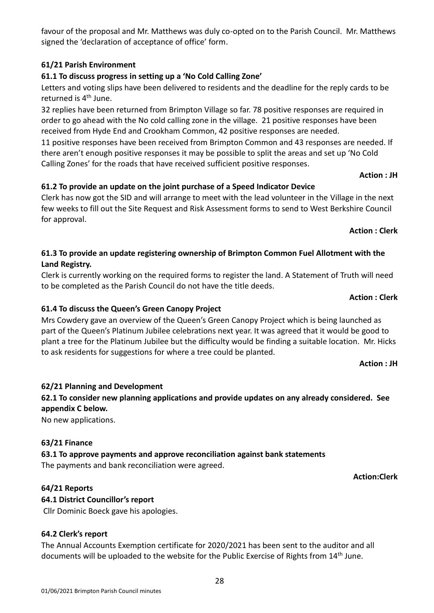favour of the proposal and Mr. Matthews was duly co-opted on to the Parish Council. Mr. Matthews signed the 'declaration of acceptance of office' form.

### **61/21 Parish Environment**

### **61.1 To discuss progress in setting up a 'No Cold Calling Zone'**

Letters and voting slips have been delivered to residents and the deadline for the reply cards to be returned is 4th June.

32 replies have been returned from Brimpton Village so far. 78 positive responses are required in order to go ahead with the No cold calling zone in the village. 21 positive responses have been received from Hyde End and Crookham Common, 42 positive responses are needed.

11 positive responses have been received from Brimpton Common and 43 responses are needed. If there aren't enough positive responses it may be possible to split the areas and set up 'No Cold Calling Zones' for the roads that have received sufficient positive responses.

## **61.2 To provide an update on the joint purchase of a Speed Indicator Device**

Clerk has now got the SID and will arrange to meet with the lead volunteer in the Village in the next few weeks to fill out the Site Request and Risk Assessment forms to send to West Berkshire Council for approval.

#### **Action : Clerk**

**Action : JH**

## **61.3 To provide an update registering ownership of Brimpton Common Fuel Allotment with the Land Registry.**

Clerk is currently working on the required forms to register the land. A Statement of Truth will need to be completed as the Parish Council do not have the title deeds.

#### **Action : Clerk**

### **61.4 To discuss the Queen's Green Canopy Project**

Mrs Cowdery gave an overview of the Queen's Green Canopy Project which is being launched as part of the Queen's Platinum Jubilee celebrations next year. It was agreed that it would be good to plant a tree for the Platinum Jubilee but the difficulty would be finding a suitable location. Mr. Hicks to ask residents for suggestions for where a tree could be planted.

#### **Action : JH**

## **62/21 Planning and Development**

**62.1 To consider new planning applications and provide updates on any already considered. See appendix C below.**

No new applications.

### **63/21 Finance**

**63.1 To approve payments and approve reconciliation against bank statements** The payments and bank reconciliation were agreed.

**Action:Clerk**

### **64/21 Reports**

## **64.1 District Councillor's report**

Cllr Dominic Boeck gave his apologies.

### **64.2 Clerk's report**

The Annual Accounts Exemption certificate for 2020/2021 has been sent to the auditor and all documents will be uploaded to the website for the Public Exercise of Rights from 14th June.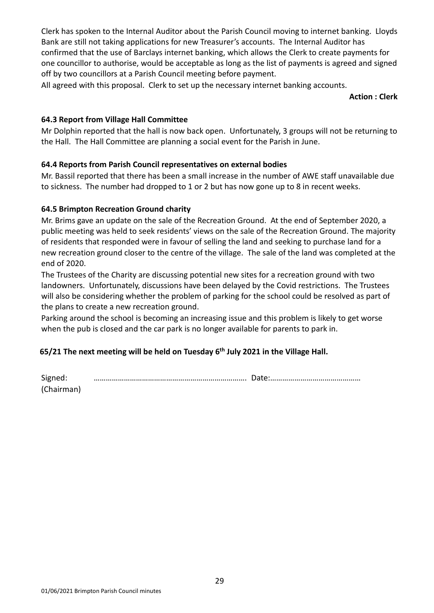Clerk has spoken to the Internal Auditor about the Parish Council moving to internet banking. Lloyds Bank are still not taking applications for new Treasurer's accounts. The Internal Auditor has confirmed that the use of Barclays internet banking, which allows the Clerk to create payments for one councillor to authorise, would be acceptable as long as the list of payments is agreed and signed off by two councillors at a Parish Council meeting before payment.

All agreed with this proposal. Clerk to set up the necessary internet banking accounts.

#### **Action : Clerk**

### **64.3 Report from Village Hall Committee**

Mr Dolphin reported that the hall is now back open. Unfortunately, 3 groups will not be returning to the Hall. The Hall Committee are planning a social event for the Parish in June.

## **64.4 Reports from Parish Council representatives on external bodies**

Mr. Bassil reported that there has been a small increase in the number of AWE staff unavailable due to sickness. The number had dropped to 1 or 2 but has now gone up to 8 in recent weeks.

## **64.5 Brimpton Recreation Ground charity**

Mr. Brims gave an update on the sale of the Recreation Ground. At the end of September 2020, a public meeting was held to seek residents' views on the sale of the Recreation Ground. The majority of residents that responded were in favour of selling the land and seeking to purchase land for a new recreation ground closer to the centre of the village. The sale of the land was completed at the end of 2020.

The Trustees of the Charity are discussing potential new sites for a recreation ground with two landowners. Unfortunately, discussions have been delayed by the Covid restrictions. The Trustees will also be considering whether the problem of parking for the school could be resolved as part of the plans to create a new recreation ground.

Parking around the school is becoming an increasing issue and this problem is likely to get worse when the pub is closed and the car park is no longer available for parents to park in.

## **65/21 The next meeting will be held on Tuesday 6 th July 2021 in the Village Hall.**

Signed: …………………………………………………………………. Date:……………………………………… (Chairman)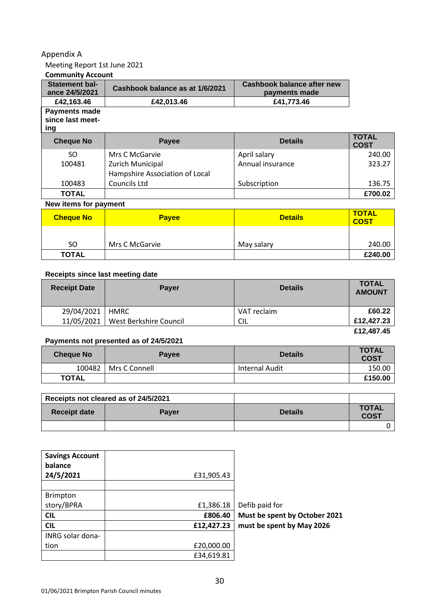### Appendix A

#### Meeting Report 1st June 2021

# **Community Account**

| COMMUNISTRATION                                 |                                 |                                             |                             |  |
|-------------------------------------------------|---------------------------------|---------------------------------------------|-----------------------------|--|
| <b>Statement bal-</b><br>ance 24/5/2021         | Cashbook balance as at 1/6/2021 | Cashbook balance after new<br>payments made |                             |  |
| £42,163.46                                      | £42,013.46                      | £41,773.46                                  |                             |  |
| <b>Payments made</b><br>since last meet-<br>ing |                                 |                                             |                             |  |
| <b>Cheque No</b>                                | <b>Payee</b>                    | <b>Details</b>                              | <b>TOTAL</b><br>COST        |  |
| SO.                                             | Mrs C McGarvie                  | April salary                                | 240.00                      |  |
| 100481                                          | Zurich Municipal                | Annual insurance                            | 323.27                      |  |
|                                                 | Hampshire Association of Local  |                                             |                             |  |
| 100483                                          | Councils Ltd                    | Subscription                                | 136.75                      |  |
| <b>TOTAL</b>                                    |                                 |                                             | £700.02                     |  |
| New items for payment                           |                                 |                                             |                             |  |
| <b>Cheque No</b>                                | <b>Payee</b>                    | <b>Details</b>                              | <b>TOTAL</b><br><b>COST</b> |  |
|                                                 |                                 |                                             |                             |  |

#### **Receipts since last meeting date**

| <b>Receipt Date</b> | <b>Paver</b>           | <b>Details</b> | <b>TOTAL</b><br><b>AMOUNT</b> |
|---------------------|------------------------|----------------|-------------------------------|
| 29/04/2021   HMRC   |                        | VAT reclaim    | £60.22                        |
| 11/05/2021          | West Berkshire Council | <b>CIL</b>     | £12,427.23                    |
|                     |                        |                | £12,487.45                    |

SO Mrs C McGarvie May salary May salary 240.00 **TOTAL £240.00**

#### **Payments not presented as of 24/5/2021**

| <b>Cheque No</b> | <b>Pavee</b>  | <b>Details</b> | <b>TOTAL</b><br><b>COST</b> |
|------------------|---------------|----------------|-----------------------------|
| 100482           | Mrs C Connell | Internal Audit | 150.00                      |
| TOTAL            |               |                | £150.00                     |

|                     | Receipts not cleared as of 24/5/2021 |                |                             |
|---------------------|--------------------------------------|----------------|-----------------------------|
| <b>Receipt date</b> | <b>Paver</b>                         | <b>Details</b> | <b>TOTAL</b><br><b>COST</b> |
|                     |                                      |                |                             |

| <b>Savings Account</b><br>balance |            |                               |
|-----------------------------------|------------|-------------------------------|
| 24/5/2021                         | £31,905.43 |                               |
|                                   |            |                               |
| <b>Brimpton</b>                   |            |                               |
| story/BPRA                        | £1,386.18  | Defib paid for                |
| <b>CIL</b>                        | £806.40    | Must be spent by October 2021 |
| <b>CIL</b>                        | £12,427.23 | must be spent by May 2026     |
| INRG solar dona-                  |            |                               |
| tion                              | £20,000.00 |                               |
|                                   | £34,619.81 |                               |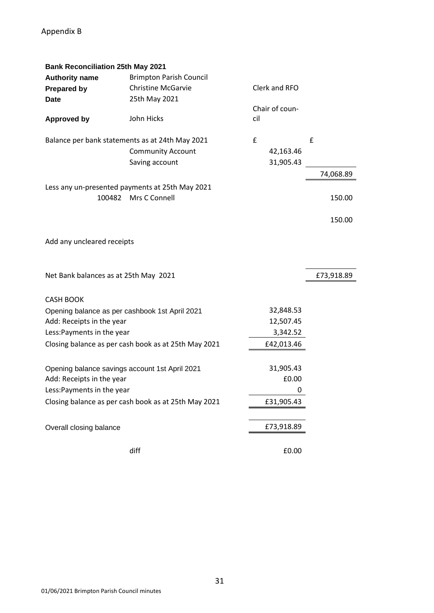Appendix B

| <b>Bank Reconciliation 25th May 2021</b>       |                                                      |     |                |            |
|------------------------------------------------|------------------------------------------------------|-----|----------------|------------|
| <b>Authority name</b>                          | <b>Brimpton Parish Council</b>                       |     |                |            |
| <b>Prepared by</b>                             | <b>Christine McGarvie</b>                            |     | Clerk and RFO  |            |
| <b>Date</b>                                    | 25th May 2021                                        |     |                |            |
| <b>Approved by</b>                             | John Hicks                                           | cil | Chair of coun- |            |
|                                                | Balance per bank statements as at 24th May 2021      | £   |                | £          |
|                                                | <b>Community Account</b>                             |     | 42,163.46      |            |
|                                                | Saving account                                       |     | 31,905.43      |            |
|                                                |                                                      |     |                | 74,068.89  |
|                                                | Less any un-presented payments at 25th May 2021      |     |                |            |
|                                                | 100482 Mrs C Connell                                 |     |                | 150.00     |
|                                                |                                                      |     |                | 150.00     |
| Add any uncleared receipts                     |                                                      |     |                |            |
| Net Bank balances as at 25th May 2021          |                                                      |     |                | £73,918.89 |
| <b>CASH BOOK</b>                               |                                                      |     |                |            |
| Opening balance as per cashbook 1st April 2021 |                                                      |     | 32,848.53      |            |
| Add: Receipts in the year                      |                                                      |     | 12,507.45      |            |
| Less: Payments in the year                     |                                                      |     | 3,342.52       |            |
|                                                | Closing balance as per cash book as at 25th May 2021 |     | £42,013.46     |            |
|                                                |                                                      |     |                |            |
| Opening balance savings account 1st April 2021 |                                                      |     | 31,905.43      |            |
| Add: Receipts in the year                      |                                                      |     | £0.00          |            |
| Less: Payments in the year                     |                                                      |     | 0              |            |
|                                                | Closing balance as per cash book as at 25th May 2021 |     | £31,905.43     |            |
| Overall closing balance                        |                                                      |     | £73,918.89     |            |
|                                                | diff                                                 |     | £0.00          |            |